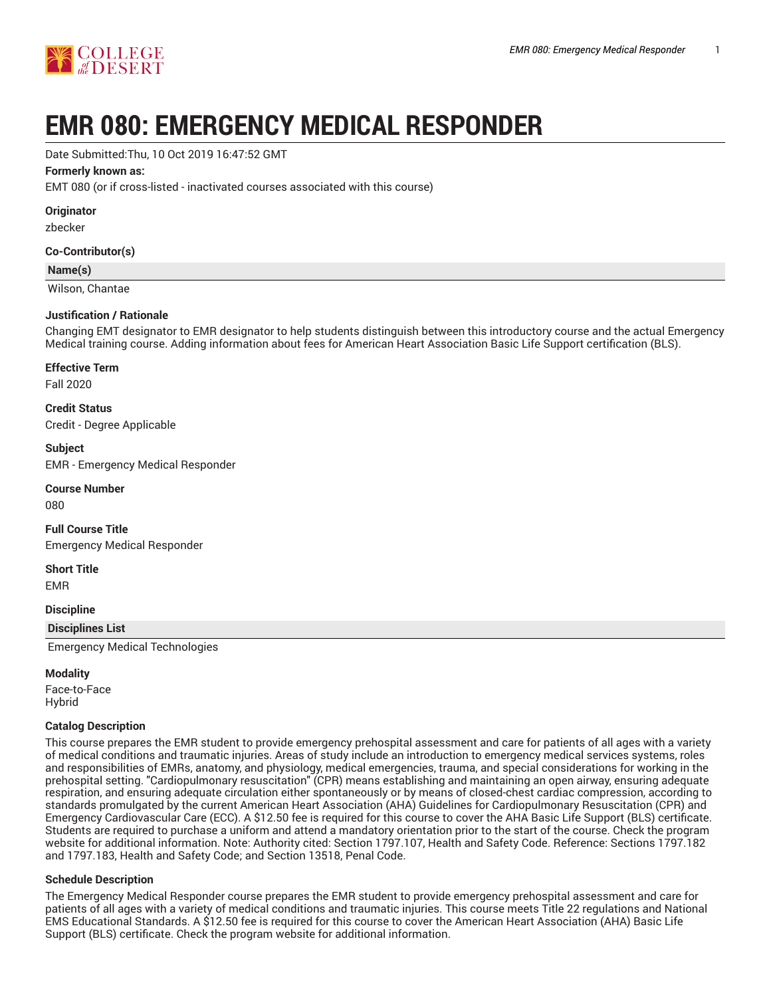

# **EMR 080: EMERGENCY MEDICAL RESPONDER**

Date Submitted:Thu, 10 Oct 2019 16:47:52 GMT

#### **Formerly known as:**

EMT 080 (or if cross-listed - inactivated courses associated with this course)

**Originator**

zbecker

#### **Co-Contributor(s)**

#### **Name(s)**

Wilson, Chantae

#### **Justification / Rationale**

Changing EMT designator to EMR designator to help students distinguish between this introductory course and the actual Emergency Medical training course. Adding information about fees for American Heart Association Basic Life Support certification (BLS).

#### **Effective Term**

Fall 2020

**Credit Status** Credit - Degree Applicable

#### **Subject**

EMR - Emergency Medical Responder

## **Course Number**

080

## **Full Course Title** Emergency Medical Responder

#### **Short Title**

EMR

#### **Discipline**

#### **Disciplines List**

Emergency Medical Technologies

#### **Modality**

Face-to-Face Hybrid

### **Catalog Description**

This course prepares the EMR student to provide emergency prehospital assessment and care for patients of all ages with a variety of medical conditions and traumatic injuries. Areas of study include an introduction to emergency medical services systems, roles and responsibilities of EMRs, anatomy, and physiology, medical emergencies, trauma, and special considerations for working in the prehospital setting. "Cardiopulmonary resuscitation" (CPR) means establishing and maintaining an open airway, ensuring adequate respiration, and ensuring adequate circulation either spontaneously or by means of closed-chest cardiac compression, according to standards promulgated by the current American Heart Association (AHA) Guidelines for Cardiopulmonary Resuscitation (CPR) and Emergency Cardiovascular Care (ECC). A \$12.50 fee is required for this course to cover the AHA Basic Life Support (BLS) certificate. Students are required to purchase a uniform and attend a mandatory orientation prior to the start of the course. Check the program website for additional information. Note: Authority cited: Section 1797.107, Health and Safety Code. Reference: Sections 1797.182 and 1797.183, Health and Safety Code; and Section 13518, Penal Code.

#### **Schedule Description**

The Emergency Medical Responder course prepares the EMR student to provide emergency prehospital assessment and care for patients of all ages with a variety of medical conditions and traumatic injuries. This course meets Title 22 regulations and National EMS Educational Standards. A \$12.50 fee is required for this course to cover the American Heart Association (AHA) Basic Life Support (BLS) certificate. Check the program website for additional information.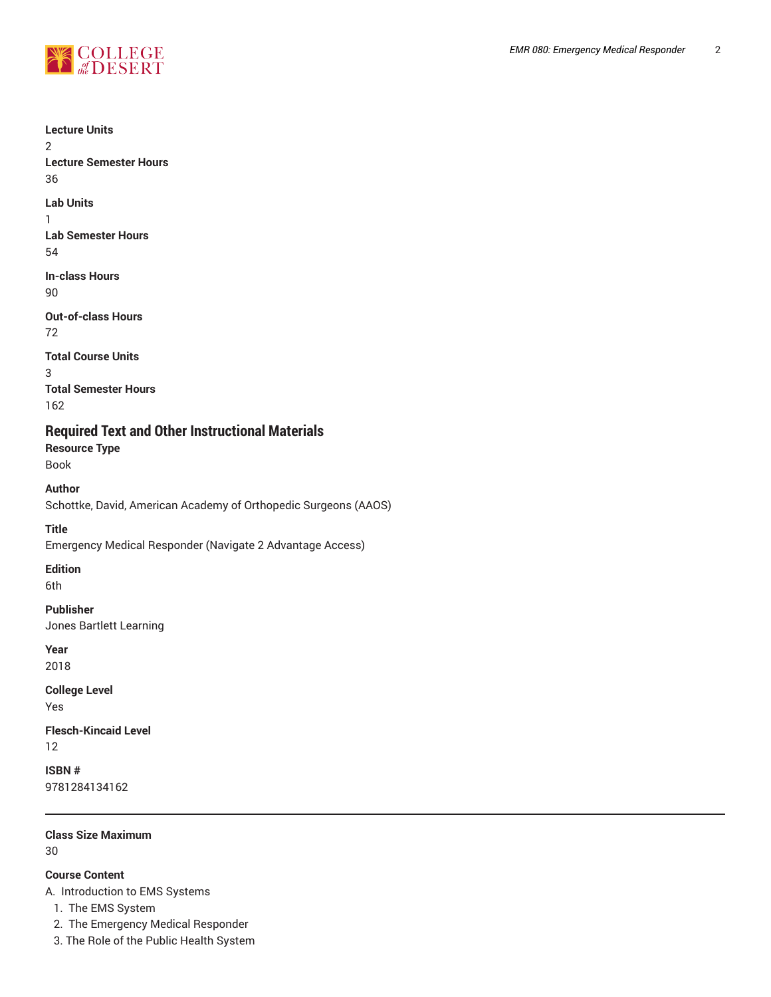

2

1

3

**Lecture Units Lecture Semester Hours** 36 **Lab Units Lab Semester Hours** 54 **In-class Hours** 90 **Out-of-class Hours** 72 **Total Course Units Total Semester Hours** 162 **Required Text and Other Instructional Materials Resource Type** Book **Author** Schottke, David, American Academy of Orthopedic Surgeons (AAOS) **Title** Emergency Medical Responder (Navigate 2 Advantage Access) **Edition** 6th **Publisher** Jones Bartlett Learning **Year** 2018

**College Level** Yes

**Flesch-Kincaid Level** 12

**ISBN #** 9781284134162

**Class Size Maximum** 30

## **Course Content**

A. Introduction to EMS Systems

1. The EMS System

2. The Emergency Medical Responder

*EMR 080: Emergency Medical Responder* 2

3. The Role of the Public Health System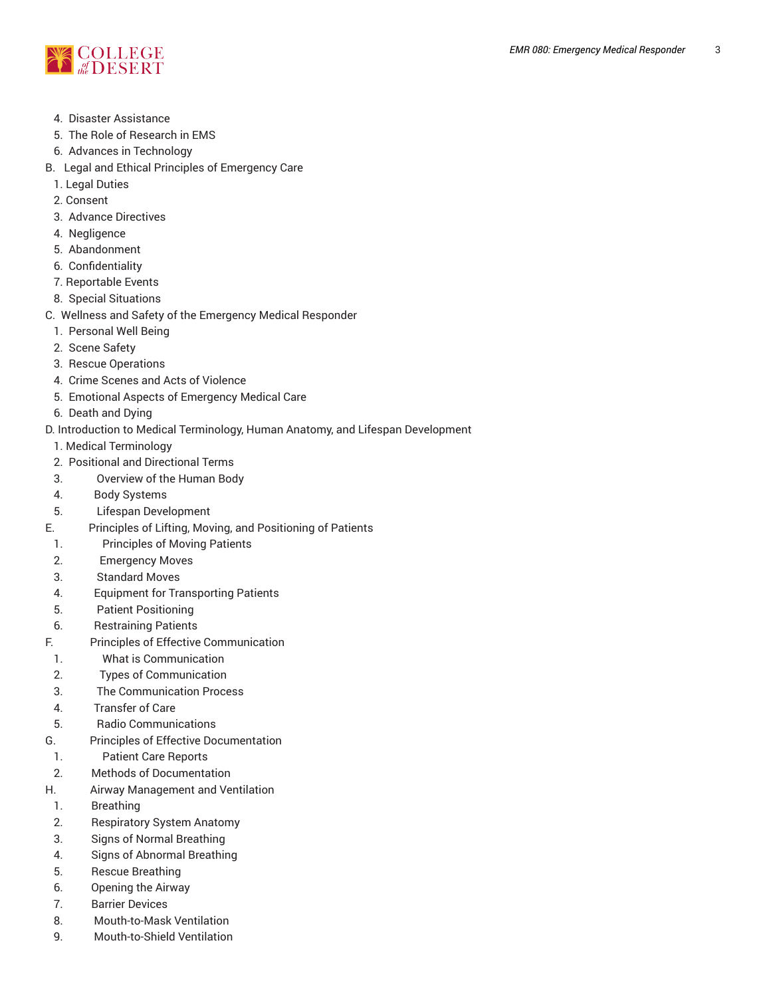

- 4. Disaster Assistance
- 5. The Role of Research in EMS
- 6. Advances in Technology
- B. Legal and Ethical Principles of Emergency Care
- 1. Legal Duties
- 2. Consent
- 3. Advance Directives
- 4. Negligence
- 5. Abandonment
- 6. Confidentiality
- 7. Reportable Events
- 8. Special Situations
- C. Wellness and Safety of the Emergency Medical Responder
	- 1. Personal Well Being
	- 2. Scene Safety
	- 3. Rescue Operations
	- 4. Crime Scenes and Acts of Violence
	- 5. Emotional Aspects of Emergency Medical Care
- 6. Death and Dying
- D. Introduction to Medical Terminology, Human Anatomy, and Lifespan Development
- 1. Medical Terminology
- 2. Positional and Directional Terms
- 3. Overview of the Human Body
- 4. Body Systems
- 5. Lifespan Development
- E. Principles of Lifting, Moving, and Positioning of Patients
- 1. Principles of Moving Patients
- 2. Emergency Moves
- 3. Standard Moves
- 4. Equipment for Transporting Patients
- 5. Patient Positioning
- 6. Restraining Patients
- F. Principles of Effective Communication
- 1. What is Communication
- 2. Types of Communication
- 3. The Communication Process
- 4. Transfer of Care
- 5. Radio Communications
- G. Principles of Effective Documentation
- 1. Patient Care Reports
- 2. Methods of Documentation
- H. Airway Management and Ventilation
- 1. Breathing
- 2. Respiratory System Anatomy
- 3. Signs of Normal Breathing
- 4. Signs of Abnormal Breathing
- 5. Rescue Breathing
- 6. Opening the Airway
- 7. Barrier Devices
- 8. Mouth-to-Mask Ventilation
- 9. Mouth-to-Shield Ventilation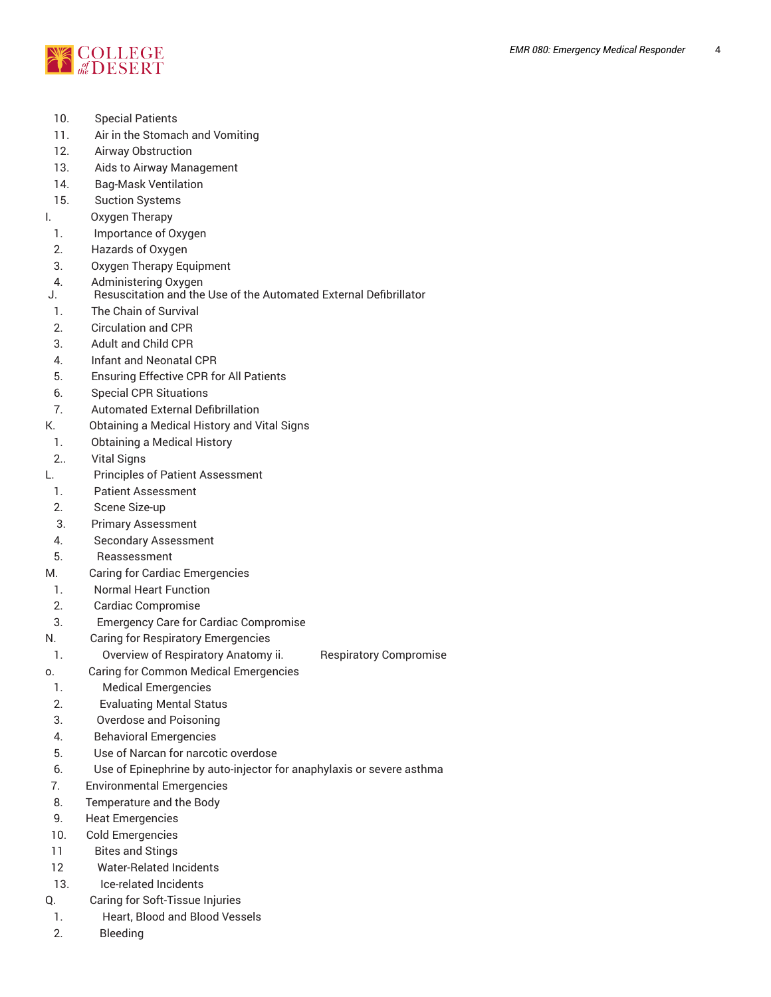

- 10. Special Patients
- 11. Air in the Stomach and Vomiting
- 12. Airway Obstruction
- 13. Aids to Airway Management
- 14. Bag-Mask Ventilation
- 15. Suction Systems
- I. Oxygen Therapy
- 1. Importance of Oxygen
- 2. Hazards of Oxygen
- 3. Oxygen Therapy Equipment
- 4. Administering Oxygen
- J. Resuscitation and the Use of the Automated External Defibrillator
- 1. The Chain of Survival
- 2. Circulation and CPR
- 3. Adult and Child CPR
- 4. Infant and Neonatal CPR
- 5. Ensuring Effective CPR for All Patients
- 6. Special CPR Situations
- 7. Automated External Defibrillation
- K. Obtaining a Medical History and Vital Signs
- 1. Obtaining a Medical History
- 2.. Vital Signs
- L. Principles of Patient Assessment
- 1. Patient Assessment
- 2. Scene Size-up
- 3. Primary Assessment
- 4. Secondary Assessment
- 5. Reassessment
- M. Caring for Cardiac Emergencies
- 1. Normal Heart Function
- 2. Cardiac Compromise
- 3. Emergency Care for Cardiac Compromise
- N. Caring for Respiratory Emergencies
- 1. Overview of Respiratory Anatomy ii. Bespiratory Compromise
- o. Caring for Common Medical Emergencies
- 1. Medical Emergencies
- 2. Evaluating Mental Status
- 3. Overdose and Poisoning
- 4. Behavioral Emergencies
- 5. Use of Narcan for narcotic overdose
- 6. Use of Epinephrine by auto-injector for anaphylaxis or severe asthma
- 7. Environmental Emergencies
- 8. Temperature and the Body
- 9. Heat Emergencies
- 10. Cold Emergencies
- 11 Bites and Stings
- 12 Water-Related Incidents
- 13. Ice-related Incidents
- Q. Caring for Soft-Tissue Injuries
- 1. Heart, Blood and Blood Vessels
- 2. Bleeding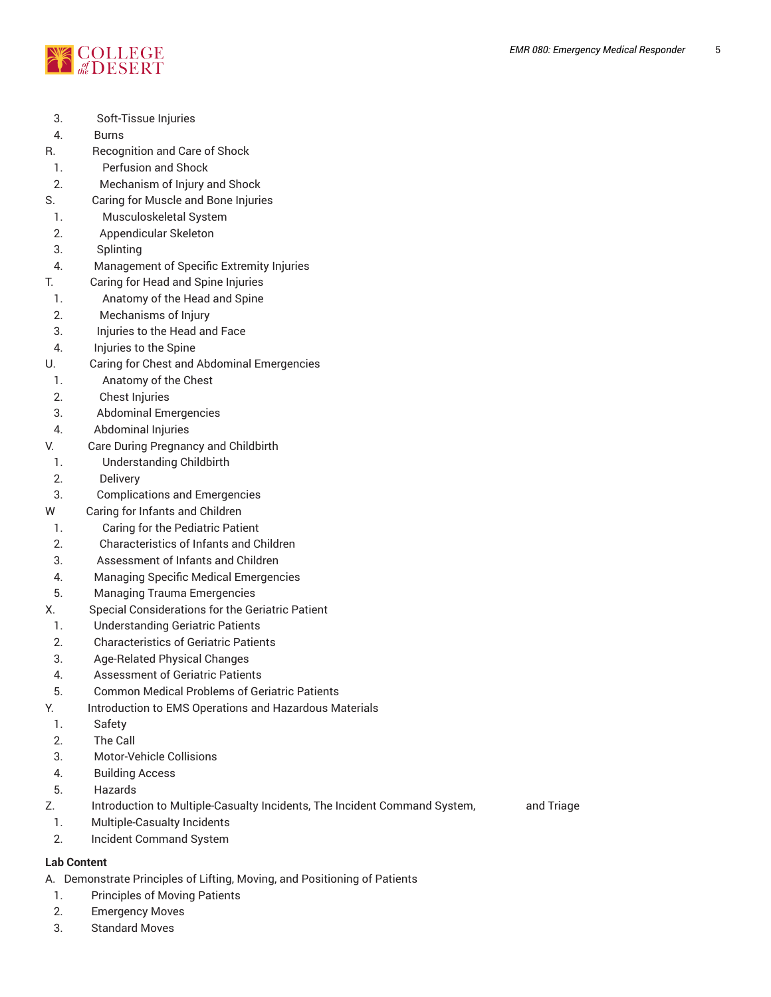

- 3. Soft-Tissue Injuries
- 4. Burns
- R. Recognition and Care of Shock
- 1. Perfusion and Shock
- 2. Mechanism of Injury and Shock
- S. Caring for Muscle and Bone Injuries
- 1. Musculoskeletal System
- 2. Appendicular Skeleton
- 3. Splinting
- 4. Management of Specific Extremity Injuries
- T. Caring for Head and Spine Injuries
- 1. Anatomy of the Head and Spine
- 2. Mechanisms of Injury
- 3. Injuries to the Head and Face
- 4. Injuries to the Spine
- U. Caring for Chest and Abdominal Emergencies
- 1. **Anatomy of the Chest**
- 2. Chest Injuries
- 3. Abdominal Emergencies
- 4. Abdominal Injuries
- V. Care During Pregnancy and Childbirth
- 1. Understanding Childbirth
- 2. Delivery
- 3. Complications and Emergencies
- W Caring for Infants and Children
- 1. Caring for the Pediatric Patient
- 2. Characteristics of Infants and Children
- 3. Assessment of Infants and Children
- 4. Managing Specific Medical Emergencies
- 5. Managing Trauma Emergencies
- X. Special Considerations for the Geriatric Patient
- 1. Understanding Geriatric Patients
- 2. Characteristics of Geriatric Patients
- 3. Age-Related Physical Changes
- 4. Assessment of Geriatric Patients
- 5. Common Medical Problems of Geriatric Patients
- Y. Introduction to EMS Operations and Hazardous Materials
- 1. Safety
- 2. The Call
- 3. Motor-Vehicle Collisions
- 4. Building Access
- 5. Hazards
- Z. Introduction to Multiple-Casualty Incidents, The Incident Command System, and Triage
- 1. Multiple-Casualty Incidents
- 2. Incident Command System

# **Lab Content**

A. Demonstrate Principles of Lifting, Moving, and Positioning of Patients

- 1. Principles of Moving Patients
- 2. Emergency Moves
- 3. Standard Moves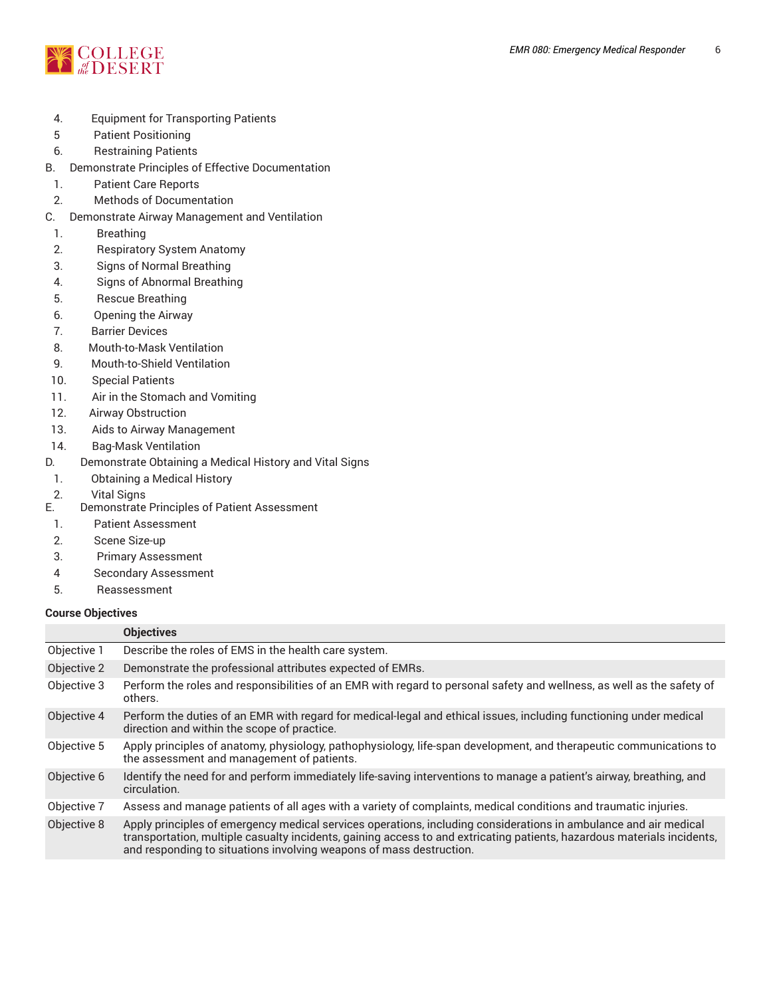

- 4. Equipment for Transporting Patients
- 5 Patient Positioning
- 6. Restraining Patients
- B. Demonstrate Principles of Effective Documentation
- 1. Patient Care Reports
- 2. Methods of Documentation
- C. Demonstrate Airway Management and Ventilation
- 1. Breathing
- 2. Respiratory System Anatomy
- 3. Signs of Normal Breathing
- 4. Signs of Abnormal Breathing
- 5. Rescue Breathing
- 6. Opening the Airway
- 7. Barrier Devices
- 8. Mouth-to-Mask Ventilation
- 9. Mouth-to-Shield Ventilation
- 10. Special Patients
- 11. Air in the Stomach and Vomiting
- 12. Airway Obstruction
- 13. Aids to Airway Management
- 14. Bag-Mask Ventilation
- D. Demonstrate Obtaining a Medical History and Vital Signs
- 1. Obtaining a Medical History
- 2. Vital Signs
- E. Demonstrate Principles of Patient Assessment
- 1. Patient Assessment
- 2. Scene Size-up
- 3. Primary Assessment
- 4 Secondary Assessment
- 5. Reassessment

## **Course Objectives**

|             | <b>Objectives</b>                                                                                                                                                                                                                                                                                                  |  |
|-------------|--------------------------------------------------------------------------------------------------------------------------------------------------------------------------------------------------------------------------------------------------------------------------------------------------------------------|--|
| Objective 1 | Describe the roles of EMS in the health care system.                                                                                                                                                                                                                                                               |  |
| Objective 2 | Demonstrate the professional attributes expected of EMRs.                                                                                                                                                                                                                                                          |  |
| Objective 3 | Perform the roles and responsibilities of an EMR with regard to personal safety and wellness, as well as the safety of<br>others.                                                                                                                                                                                  |  |
| Objective 4 | Perform the duties of an EMR with regard for medical-legal and ethical issues, including functioning under medical<br>direction and within the scope of practice.                                                                                                                                                  |  |
| Objective 5 | Apply principles of anatomy, physiology, pathophysiology, life-span development, and therapeutic communications to<br>the assessment and management of patients.                                                                                                                                                   |  |
| Objective 6 | Identify the need for and perform immediately life-saving interventions to manage a patient's airway, breathing, and<br>circulation.                                                                                                                                                                               |  |
| Objective 7 | Assess and manage patients of all ages with a variety of complaints, medical conditions and traumatic injuries.                                                                                                                                                                                                    |  |
| Objective 8 | Apply principles of emergency medical services operations, including considerations in ambulance and air medical<br>transportation, multiple casualty incidents, gaining access to and extricating patients, hazardous materials incidents,<br>and responding to situations involving weapons of mass destruction. |  |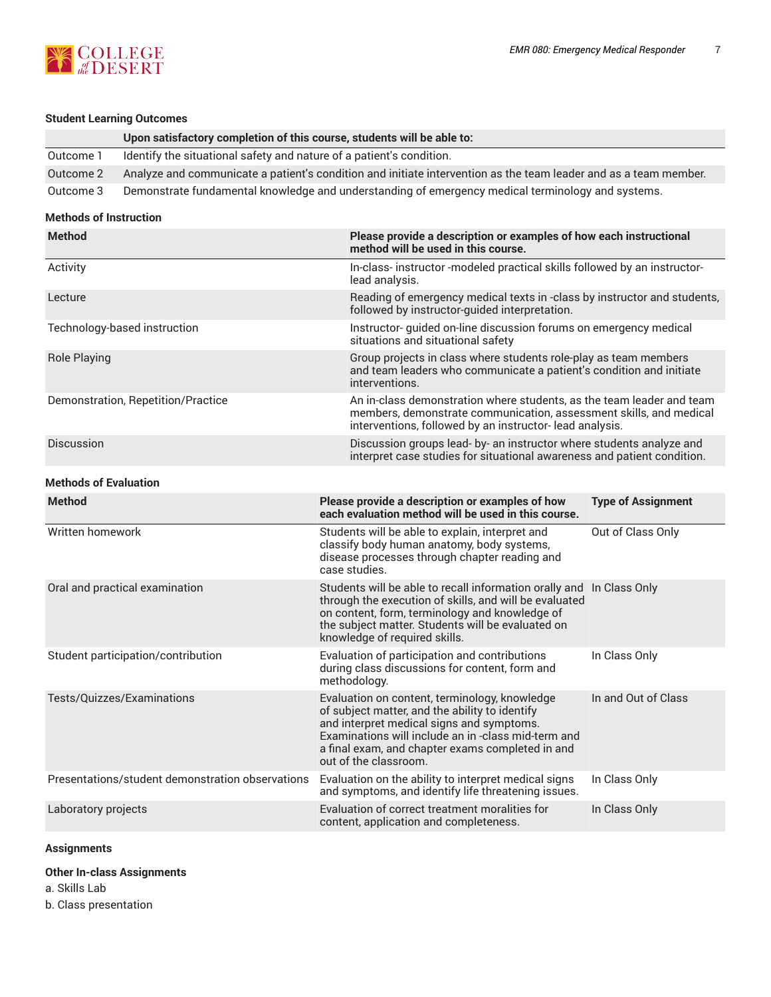

## **Student Learning Outcomes**

|           | Upon satisfactory completion of this course, students will be able to:                                           |
|-----------|------------------------------------------------------------------------------------------------------------------|
| Outcome 1 | Identify the situational safety and nature of a patient's condition.                                             |
| Outcome 2 | Analyze and communicate a patient's condition and initiate intervention as the team leader and as a team member. |
| Outcome 3 | Demonstrate fundamental knowledge and understanding of emergency medical terminology and systems.                |

## **Methods of Instruction**

| Method                                           | Please provide a description or examples of how each instructional<br>method will be used in this course.                                                                                                                                                                       |                           |  |
|--------------------------------------------------|---------------------------------------------------------------------------------------------------------------------------------------------------------------------------------------------------------------------------------------------------------------------------------|---------------------------|--|
| Activity                                         | In-class-instructor-modeled practical skills followed by an instructor-<br>lead analysis.                                                                                                                                                                                       |                           |  |
| Lecture                                          | Reading of emergency medical texts in -class by instructor and students,<br>followed by instructor-guided interpretation.                                                                                                                                                       |                           |  |
| Technology-based instruction                     | Instructor- guided on-line discussion forums on emergency medical<br>situations and situational safety                                                                                                                                                                          |                           |  |
| <b>Role Playing</b>                              | Group projects in class where students role-play as team members<br>and team leaders who communicate a patient's condition and initiate<br>interventions.                                                                                                                       |                           |  |
| Demonstration, Repetition/Practice               | An in-class demonstration where students, as the team leader and team<br>members, demonstrate communication, assessment skills, and medical<br>interventions, followed by an instructor-lead analysis.                                                                          |                           |  |
| Discussion                                       | Discussion groups lead- by- an instructor where students analyze and<br>interpret case studies for situational awareness and patient condition.                                                                                                                                 |                           |  |
| <b>Methods of Evaluation</b>                     |                                                                                                                                                                                                                                                                                 |                           |  |
| <b>Method</b>                                    | Please provide a description or examples of how<br>each evaluation method will be used in this course.                                                                                                                                                                          | <b>Type of Assignment</b> |  |
| Written homework                                 | Students will be able to explain, interpret and<br>classify body human anatomy, body systems,<br>disease processes through chapter reading and<br>case studies.                                                                                                                 | Out of Class Only         |  |
| Oral and practical examination                   | Students will be able to recall information orally and In Class Only<br>through the execution of skills, and will be evaluated<br>on content, form, terminology and knowledge of<br>the subject matter. Students will be evaluated on<br>knowledge of required skills.          |                           |  |
| Student participation/contribution               | Evaluation of participation and contributions<br>during class discussions for content, form and<br>methodology.                                                                                                                                                                 | In Class Only             |  |
| Tests/Quizzes/Examinations                       | Evaluation on content, terminology, knowledge<br>of subject matter, and the ability to identify<br>and interpret medical signs and symptoms.<br>Examinations will include an in-class mid-term and<br>a final exam, and chapter exams completed in and<br>out of the classroom. | In and Out of Class       |  |
| Presentations/student demonstration observations | Evaluation on the ability to interpret medical signs<br>and symptoms, and identify life threatening issues.                                                                                                                                                                     | In Class Only             |  |
| Laboratory projects                              | Evaluation of correct treatment moralities for<br>content, application and completeness.                                                                                                                                                                                        | In Class Only             |  |

## **Assignments**

## **Other In-class Assignments**

a. Skills Lab

b. Class presentation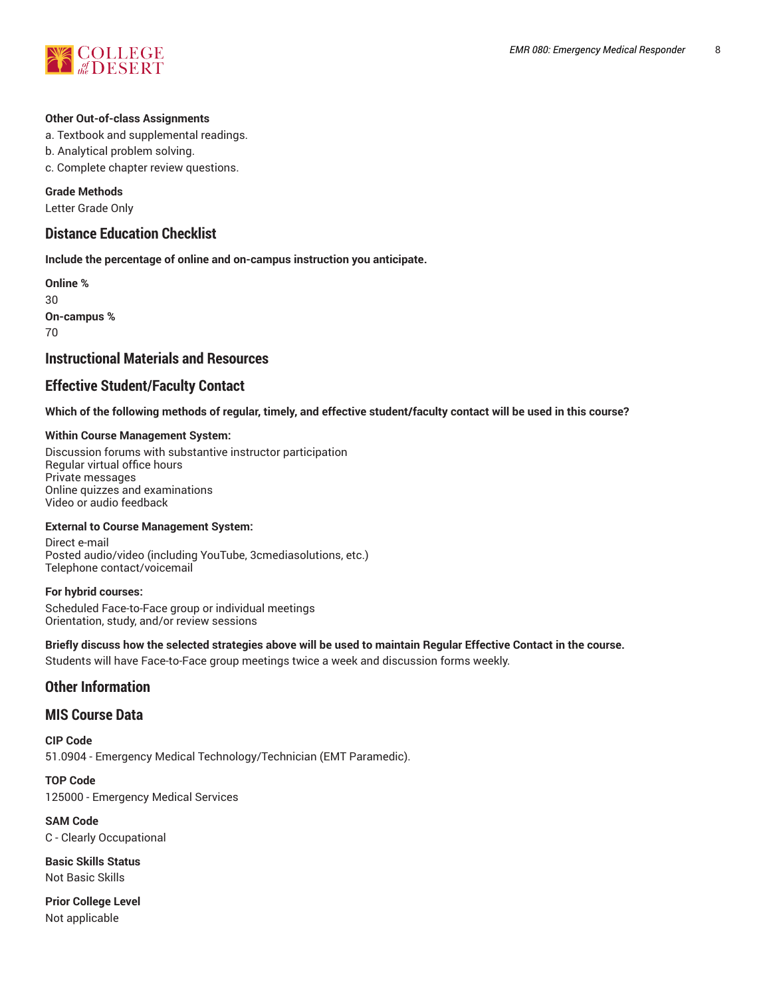

#### **Other Out-of-class Assignments**

- a. Textbook and supplemental readings.
- b. Analytical problem solving.
- c. Complete chapter review questions.

#### **Grade Methods**

Letter Grade Only

## **Distance Education Checklist**

**Include the percentage of online and on-campus instruction you anticipate.**

**Online %** 30 **On-campus %** 70

## **Instructional Materials and Resources**

## **Effective Student/Faculty Contact**

Which of the following methods of regular, timely, and effective student/faculty contact will be used in this course?

#### **Within Course Management System:**

Discussion forums with substantive instructor participation Regular virtual office hours Private messages Online quizzes and examinations Video or audio feedback

#### **External to Course Management System:**

Direct e-mail Posted audio/video (including YouTube, 3cmediasolutions, etc.) Telephone contact/voicemail

#### **For hybrid courses:**

Scheduled Face-to-Face group or individual meetings Orientation, study, and/or review sessions

#### Briefly discuss how the selected strategies above will be used to maintain Regular Effective Contact in the course.

Students will have Face-to-Face group meetings twice a week and discussion forms weekly.

## **Other Information**

## **MIS Course Data**

**CIP Code** 51.0904 - Emergency Medical Technology/Technician (EMT Paramedic).

**TOP Code** 125000 - Emergency Medical Services

**SAM Code** C - Clearly Occupational

**Basic Skills Status** Not Basic Skills

**Prior College Level** Not applicable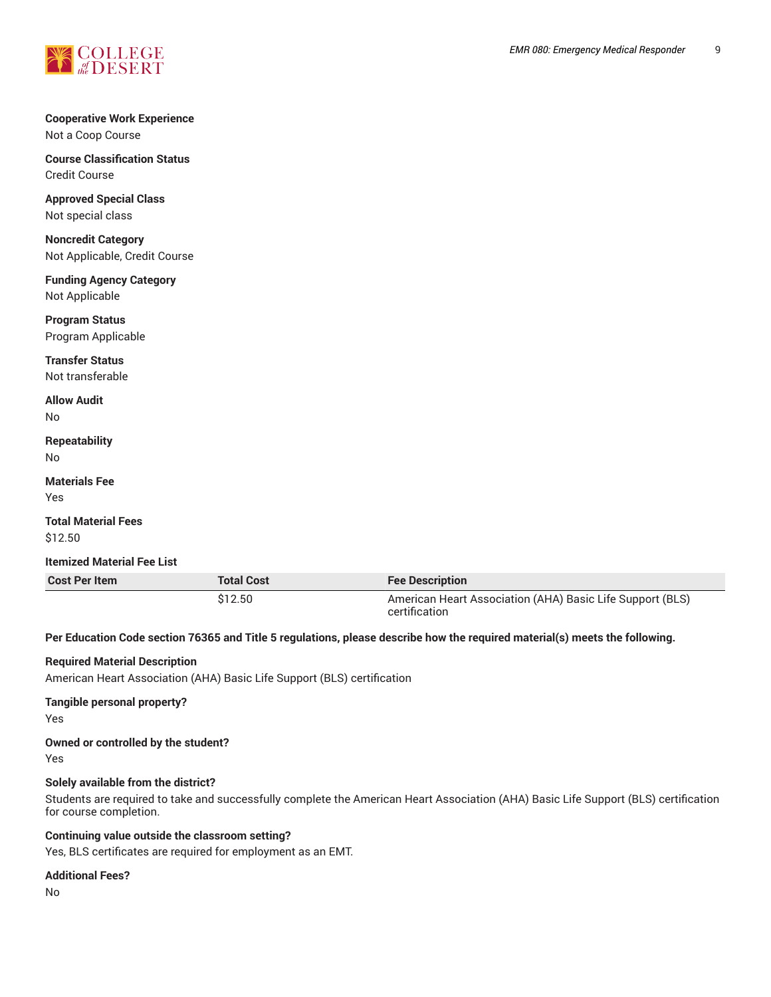

### **Cooperative Work Experience** Not a Coop Course

**Course Classification Status** Credit Course

**Approved Special Class** Not special class

**Noncredit Category** Not Applicable, Credit Course

**Funding Agency Category** Not Applicable

**Program Status** Program Applicable

**Transfer Status** Not transferable

**Allow Audit** No

**Repeatability** No

**Materials Fee** Yes

**Total Material Fees** \$12.50

**Itemized Material Fee List**

**Cost Per Item Total Cost Fee Description** \$12.50 American Heart Association (AHA) Basic Life Support (BLS) certification

Per Education Code section 76365 and Title 5 regulations, please describe how the required material(s) meets the following.

## **Required Material Description**

American Heart Association (AHA) Basic Life Support (BLS) certification

## **Tangible personal property?**

Yes

#### **Owned or controlled by the student?**

Yes

## **Solely available from the district?**

Students are required to take and successfully complete the American Heart Association (AHA) Basic Life Support (BLS) certification for course completion.

#### **Continuing value outside the classroom setting?**

Yes, BLS certificates are required for employment as an EMT.

#### **Additional Fees?**

No